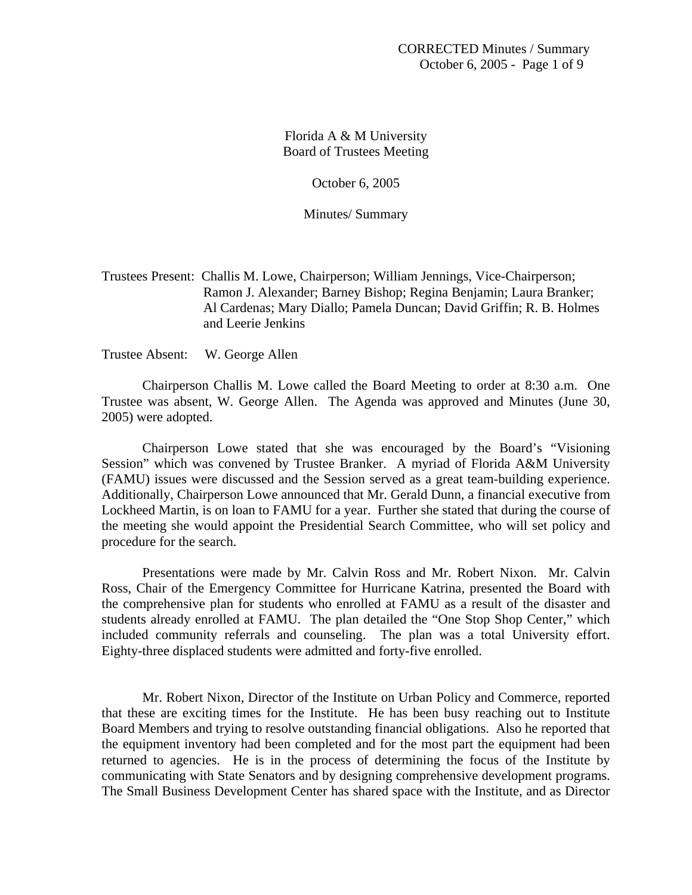Florida A & M University Board of Trustees Meeting

October 6, 2005

Minutes/ Summary

Trustees Present: Challis M. Lowe, Chairperson; William Jennings, Vice-Chairperson; Ramon J. Alexander; Barney Bishop; Regina Benjamin; Laura Branker; Al Cardenas; Mary Diallo; Pamela Duncan; David Griffin; R. B. Holmes and Leerie Jenkins

Trustee Absent: W. George Allen

 Chairperson Challis M. Lowe called the Board Meeting to order at 8:30 a.m. One Trustee was absent, W. George Allen. The Agenda was approved and Minutes (June 30, 2005) were adopted.

 Chairperson Lowe stated that she was encouraged by the Board's "Visioning Session" which was convened by Trustee Branker. A myriad of Florida A&M University (FAMU) issues were discussed and the Session served as a great team-building experience. Additionally, Chairperson Lowe announced that Mr. Gerald Dunn, a financial executive from Lockheed Martin, is on loan to FAMU for a year. Further she stated that during the course of the meeting she would appoint the Presidential Search Committee, who will set policy and procedure for the search.

 Presentations were made by Mr. Calvin Ross and Mr. Robert Nixon. Mr. Calvin Ross, Chair of the Emergency Committee for Hurricane Katrina, presented the Board with the comprehensive plan for students who enrolled at FAMU as a result of the disaster and students already enrolled at FAMU. The plan detailed the "One Stop Shop Center," which included community referrals and counseling. The plan was a total University effort. Eighty-three displaced students were admitted and forty-five enrolled.

Mr. Robert Nixon, Director of the Institute on Urban Policy and Commerce, reported that these are exciting times for the Institute. He has been busy reaching out to Institute Board Members and trying to resolve outstanding financial obligations. Also he reported that the equipment inventory had been completed and for the most part the equipment had been returned to agencies. He is in the process of determining the focus of the Institute by communicating with State Senators and by designing comprehensive development programs. The Small Business Development Center has shared space with the Institute, and as Director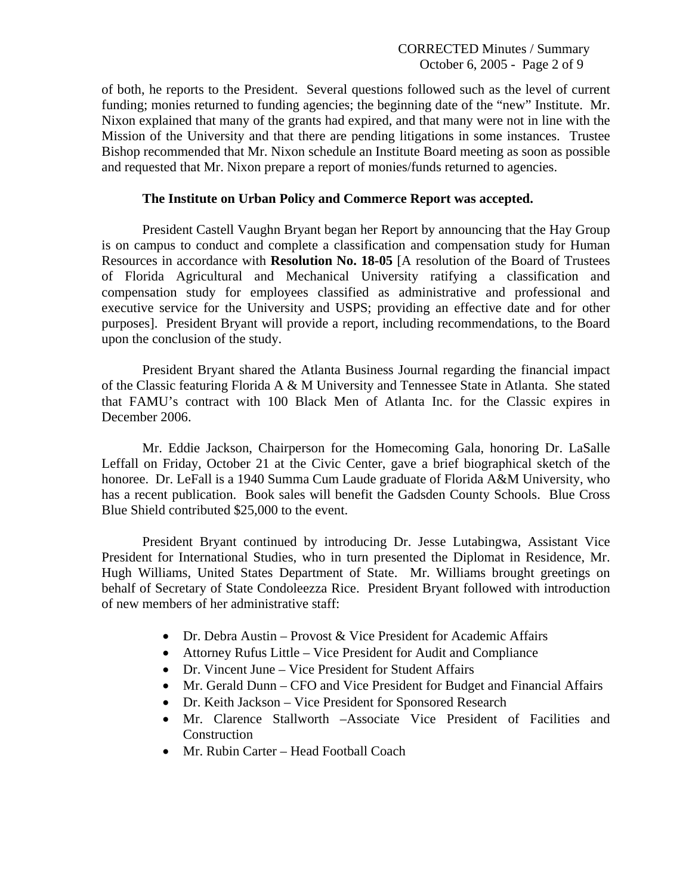## CORRECTED Minutes / Summary October 6, 2005 - Page 2 of 9

of both, he reports to the President. Several questions followed such as the level of current funding; monies returned to funding agencies; the beginning date of the "new" Institute. Mr. Nixon explained that many of the grants had expired, and that many were not in line with the Mission of the University and that there are pending litigations in some instances. Trustee Bishop recommended that Mr. Nixon schedule an Institute Board meeting as soon as possible and requested that Mr. Nixon prepare a report of monies/funds returned to agencies.

## **The Institute on Urban Policy and Commerce Report was accepted.**

President Castell Vaughn Bryant began her Report by announcing that the Hay Group is on campus to conduct and complete a classification and compensation study for Human Resources in accordance with **Resolution No. 18-05** [A resolution of the Board of Trustees of Florida Agricultural and Mechanical University ratifying a classification and compensation study for employees classified as administrative and professional and executive service for the University and USPS; providing an effective date and for other purposes]. President Bryant will provide a report, including recommendations, to the Board upon the conclusion of the study.

President Bryant shared the Atlanta Business Journal regarding the financial impact of the Classic featuring Florida A & M University and Tennessee State in Atlanta. She stated that FAMU's contract with 100 Black Men of Atlanta Inc. for the Classic expires in December 2006.

Mr. Eddie Jackson, Chairperson for the Homecoming Gala, honoring Dr. LaSalle Leffall on Friday, October 21 at the Civic Center, gave a brief biographical sketch of the honoree. Dr. LeFall is a 1940 Summa Cum Laude graduate of Florida A&M University, who has a recent publication. Book sales will benefit the Gadsden County Schools. Blue Cross Blue Shield contributed \$25,000 to the event.

President Bryant continued by introducing Dr. Jesse Lutabingwa, Assistant Vice President for International Studies, who in turn presented the Diplomat in Residence, Mr. Hugh Williams, United States Department of State. Mr. Williams brought greetings on behalf of Secretary of State Condoleezza Rice. President Bryant followed with introduction of new members of her administrative staff:

- Dr. Debra Austin Provost & Vice President for Academic Affairs
- Attorney Rufus Little Vice President for Audit and Compliance
- Dr. Vincent June Vice President for Student Affairs
- Mr. Gerald Dunn CFO and Vice President for Budget and Financial Affairs
- Dr. Keith Jackson Vice President for Sponsored Research
- Mr. Clarence Stallworth –Associate Vice President of Facilities and **Construction**
- Mr. Rubin Carter Head Football Coach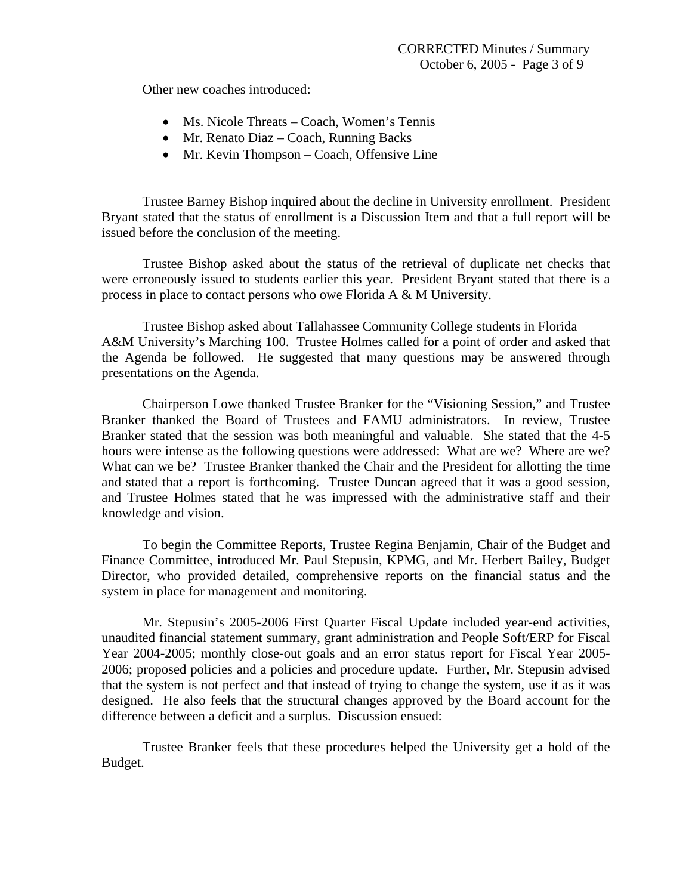Other new coaches introduced:

- Ms. Nicole Threats Coach, Women's Tennis
- Mr. Renato Diaz Coach, Running Backs
- Mr. Kevin Thompson Coach, Offensive Line

 Trustee Barney Bishop inquired about the decline in University enrollment. President Bryant stated that the status of enrollment is a Discussion Item and that a full report will be issued before the conclusion of the meeting.

 Trustee Bishop asked about the status of the retrieval of duplicate net checks that were erroneously issued to students earlier this year. President Bryant stated that there is a process in place to contact persons who owe Florida A & M University.

 Trustee Bishop asked about Tallahassee Community College students in Florida A&M University's Marching 100. Trustee Holmes called for a point of order and asked that the Agenda be followed. He suggested that many questions may be answered through presentations on the Agenda.

 Chairperson Lowe thanked Trustee Branker for the "Visioning Session," and Trustee Branker thanked the Board of Trustees and FAMU administrators. In review, Trustee Branker stated that the session was both meaningful and valuable. She stated that the 4-5 hours were intense as the following questions were addressed: What are we? Where are we? What can we be? Trustee Branker thanked the Chair and the President for allotting the time and stated that a report is forthcoming. Trustee Duncan agreed that it was a good session, and Trustee Holmes stated that he was impressed with the administrative staff and their knowledge and vision.

To begin the Committee Reports, Trustee Regina Benjamin, Chair of the Budget and Finance Committee, introduced Mr. Paul Stepusin, KPMG, and Mr. Herbert Bailey, Budget Director, who provided detailed, comprehensive reports on the financial status and the system in place for management and monitoring.

 Mr. Stepusin's 2005-2006 First Quarter Fiscal Update included year-end activities, unaudited financial statement summary, grant administration and People Soft/ERP for Fiscal Year 2004-2005; monthly close-out goals and an error status report for Fiscal Year 2005- 2006; proposed policies and a policies and procedure update. Further, Mr. Stepusin advised that the system is not perfect and that instead of trying to change the system, use it as it was designed. He also feels that the structural changes approved by the Board account for the difference between a deficit and a surplus. Discussion ensued:

 Trustee Branker feels that these procedures helped the University get a hold of the Budget.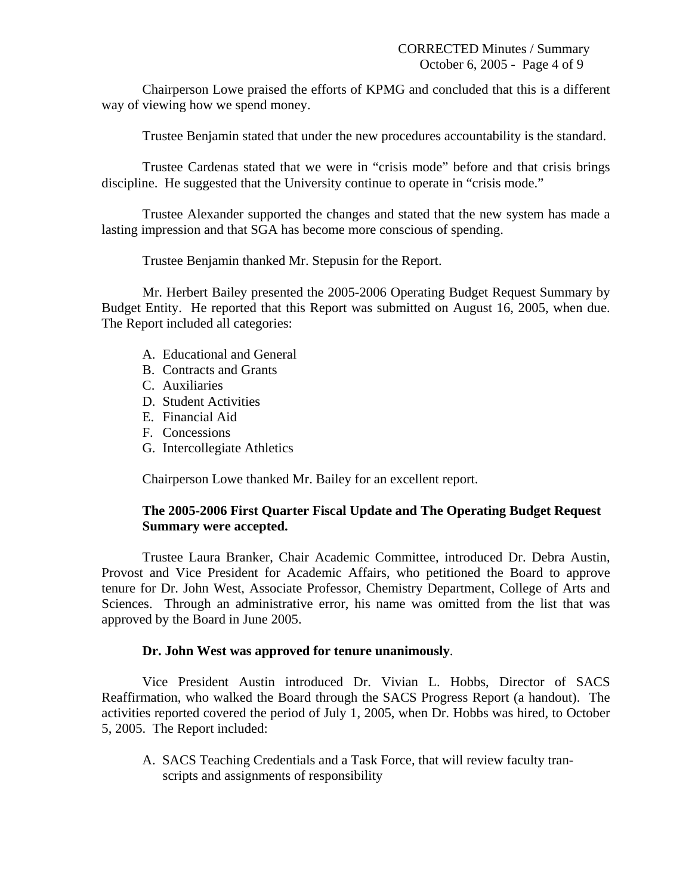Chairperson Lowe praised the efforts of KPMG and concluded that this is a different way of viewing how we spend money.

Trustee Benjamin stated that under the new procedures accountability is the standard.

 Trustee Cardenas stated that we were in "crisis mode" before and that crisis brings discipline. He suggested that the University continue to operate in "crisis mode."

 Trustee Alexander supported the changes and stated that the new system has made a lasting impression and that SGA has become more conscious of spending.

Trustee Benjamin thanked Mr. Stepusin for the Report.

 Mr. Herbert Bailey presented the 2005-2006 Operating Budget Request Summary by Budget Entity. He reported that this Report was submitted on August 16, 2005, when due. The Report included all categories:

- A. Educational and General
- B. Contracts and Grants
- C. Auxiliaries
- D. Student Activities
- E. Financial Aid
- F. Concessions
- G. Intercollegiate Athletics

Chairperson Lowe thanked Mr. Bailey for an excellent report.

## **The 2005-2006 First Quarter Fiscal Update and The Operating Budget Request Summary were accepted.**

 Trustee Laura Branker, Chair Academic Committee, introduced Dr. Debra Austin, Provost and Vice President for Academic Affairs, who petitioned the Board to approve tenure for Dr. John West, Associate Professor, Chemistry Department, College of Arts and Sciences. Through an administrative error, his name was omitted from the list that was approved by the Board in June 2005.

### **Dr. John West was approved for tenure unanimously**.

Vice President Austin introduced Dr. Vivian L. Hobbs, Director of SACS Reaffirmation, who walked the Board through the SACS Progress Report (a handout). The activities reported covered the period of July 1, 2005, when Dr. Hobbs was hired, to October 5, 2005. The Report included:

A. SACS Teaching Credentials and a Task Force, that will review faculty transcripts and assignments of responsibility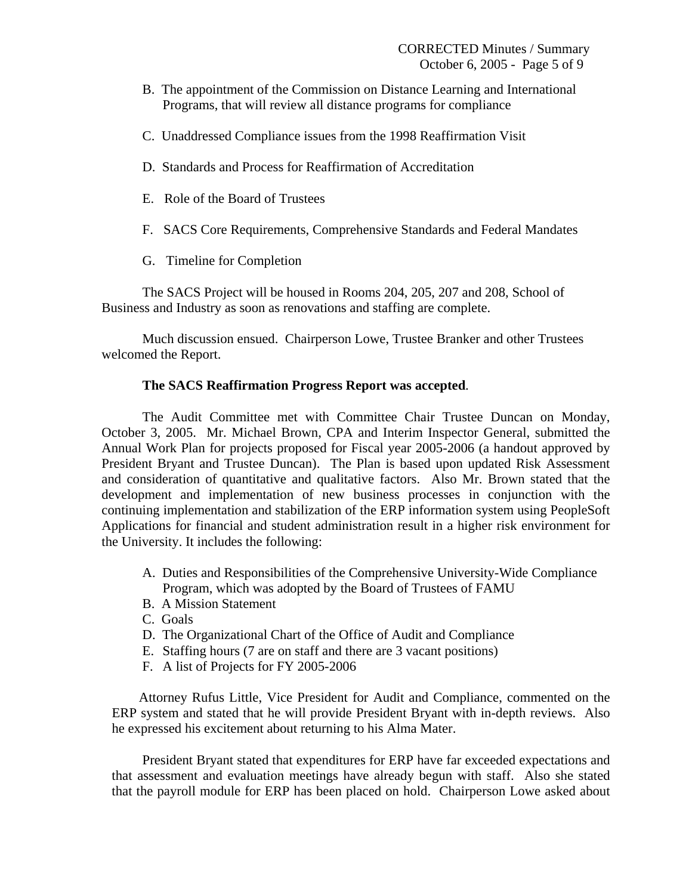- B. The appointment of the Commission on Distance Learning and International Programs, that will review all distance programs for compliance
- C. Unaddressed Compliance issues from the 1998 Reaffirmation Visit
- D. Standards and Process for Reaffirmation of Accreditation
- E. Role of the Board of Trustees
- F. SACS Core Requirements, Comprehensive Standards and Federal Mandates
- G. Timeline for Completion

 The SACS Project will be housed in Rooms 204, 205, 207 and 208, School of Business and Industry as soon as renovations and staffing are complete.

 Much discussion ensued. Chairperson Lowe, Trustee Branker and other Trustees welcomed the Report.

### **The SACS Reaffirmation Progress Report was accepted**.

 The Audit Committee met with Committee Chair Trustee Duncan on Monday, October 3, 2005. Mr. Michael Brown, CPA and Interim Inspector General, submitted the Annual Work Plan for projects proposed for Fiscal year 2005-2006 (a handout approved by President Bryant and Trustee Duncan). The Plan is based upon updated Risk Assessment and consideration of quantitative and qualitative factors. Also Mr. Brown stated that the development and implementation of new business processes in conjunction with the continuing implementation and stabilization of the ERP information system using PeopleSoft Applications for financial and student administration result in a higher risk environment for the University. It includes the following:

- A. Duties and Responsibilities of the Comprehensive University-Wide Compliance Program, which was adopted by the Board of Trustees of FAMU
- B. A Mission Statement
- C. Goals
- D. The Organizational Chart of the Office of Audit and Compliance
- E. Staffing hours (7 are on staff and there are 3 vacant positions)
- F. A list of Projects for FY 2005-2006

 Attorney Rufus Little, Vice President for Audit and Compliance, commented on the ERP system and stated that he will provide President Bryant with in-depth reviews. Also he expressed his excitement about returning to his Alma Mater.

 President Bryant stated that expenditures for ERP have far exceeded expectations and that assessment and evaluation meetings have already begun with staff. Also she stated that the payroll module for ERP has been placed on hold. Chairperson Lowe asked about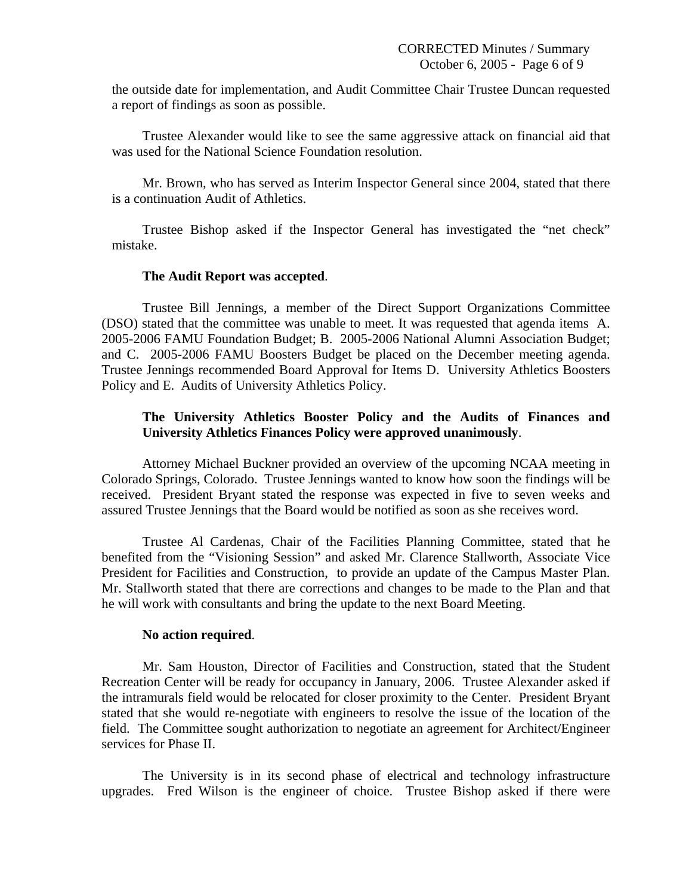the outside date for implementation, and Audit Committee Chair Trustee Duncan requested a report of findings as soon as possible.

 Trustee Alexander would like to see the same aggressive attack on financial aid that was used for the National Science Foundation resolution.

 Mr. Brown, who has served as Interim Inspector General since 2004, stated that there is a continuation Audit of Athletics.

 Trustee Bishop asked if the Inspector General has investigated the "net check" mistake.

### **The Audit Report was accepted**.

 Trustee Bill Jennings, a member of the Direct Support Organizations Committee (DSO) stated that the committee was unable to meet. It was requested that agenda items A. 2005-2006 FAMU Foundation Budget; B. 2005-2006 National Alumni Association Budget; and C. 2005-2006 FAMU Boosters Budget be placed on the December meeting agenda. Trustee Jennings recommended Board Approval for Items D. University Athletics Boosters Policy and E. Audits of University Athletics Policy.

# **The University Athletics Booster Policy and the Audits of Finances and University Athletics Finances Policy were approved unanimously**.

Attorney Michael Buckner provided an overview of the upcoming NCAA meeting in Colorado Springs, Colorado. Trustee Jennings wanted to know how soon the findings will be received. President Bryant stated the response was expected in five to seven weeks and assured Trustee Jennings that the Board would be notified as soon as she receives word.

Trustee Al Cardenas, Chair of the Facilities Planning Committee, stated that he benefited from the "Visioning Session" and asked Mr. Clarence Stallworth, Associate Vice President for Facilities and Construction, to provide an update of the Campus Master Plan. Mr. Stallworth stated that there are corrections and changes to be made to the Plan and that he will work with consultants and bring the update to the next Board Meeting.

### **No action required**.

Mr. Sam Houston, Director of Facilities and Construction, stated that the Student Recreation Center will be ready for occupancy in January, 2006. Trustee Alexander asked if the intramurals field would be relocated for closer proximity to the Center. President Bryant stated that she would re-negotiate with engineers to resolve the issue of the location of the field. The Committee sought authorization to negotiate an agreement for Architect/Engineer services for Phase II.

The University is in its second phase of electrical and technology infrastructure upgrades. Fred Wilson is the engineer of choice. Trustee Bishop asked if there were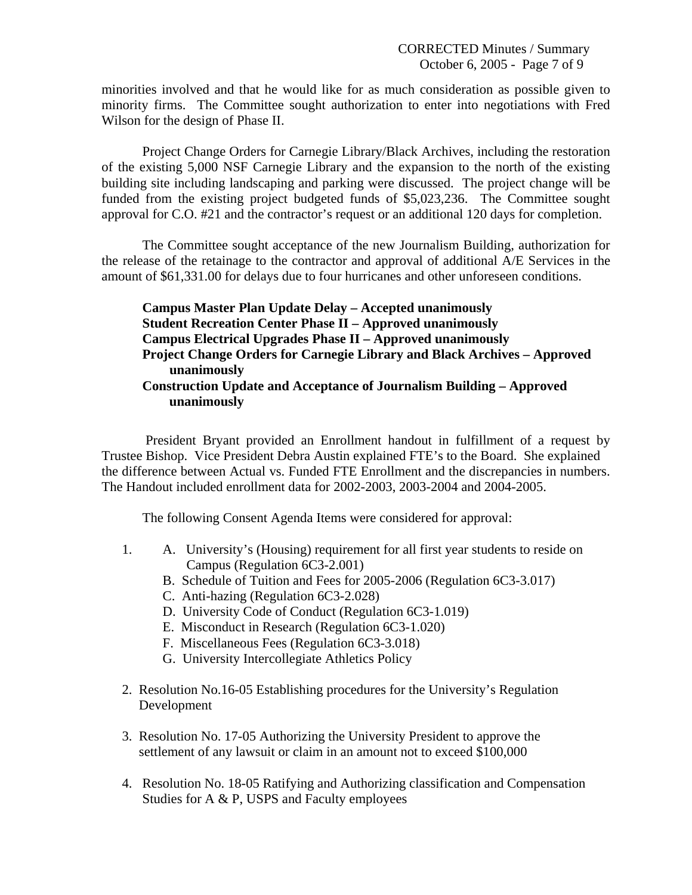minorities involved and that he would like for as much consideration as possible given to minority firms. The Committee sought authorization to enter into negotiations with Fred Wilson for the design of Phase II.

Project Change Orders for Carnegie Library/Black Archives, including the restoration of the existing 5,000 NSF Carnegie Library and the expansion to the north of the existing building site including landscaping and parking were discussed. The project change will be funded from the existing project budgeted funds of \$5,023,236. The Committee sought approval for C.O. #21 and the contractor's request or an additional 120 days for completion.

 The Committee sought acceptance of the new Journalism Building, authorization for the release of the retainage to the contractor and approval of additional A/E Services in the amount of \$61,331.00 for delays due to four hurricanes and other unforeseen conditions.

# **Campus Master Plan Update Delay – Accepted unanimously Student Recreation Center Phase II – Approved unanimously Campus Electrical Upgrades Phase II – Approved unanimously Project Change Orders for Carnegie Library and Black Archives – Approved unanimously Construction Update and Acceptance of Journalism Building – Approved unanimously**

President Bryant provided an Enrollment handout in fulfillment of a request by Trustee Bishop. Vice President Debra Austin explained FTE's to the Board. She explained the difference between Actual vs. Funded FTE Enrollment and the discrepancies in numbers. The Handout included enrollment data for 2002-2003, 2003-2004 and 2004-2005.

The following Consent Agenda Items were considered for approval:

- 1. A. University's (Housing) requirement for all first year students to reside on Campus (Regulation 6C3-2.001)
	- B. Schedule of Tuition and Fees for 2005-2006 (Regulation 6C3-3.017)
	- C. Anti-hazing (Regulation 6C3-2.028)
	- D. University Code of Conduct (Regulation 6C3-1.019)
	- E. Misconduct in Research (Regulation 6C3-1.020)
	- F. Miscellaneous Fees (Regulation 6C3-3.018)
	- G. University Intercollegiate Athletics Policy
- 2. Resolution No.16-05 Establishing procedures for the University's Regulation Development
- 3. Resolution No. 17-05 Authorizing the University President to approve the settlement of any lawsuit or claim in an amount not to exceed \$100,000
- 4. Resolution No. 18-05 Ratifying and Authorizing classification and Compensation Studies for A & P, USPS and Faculty employees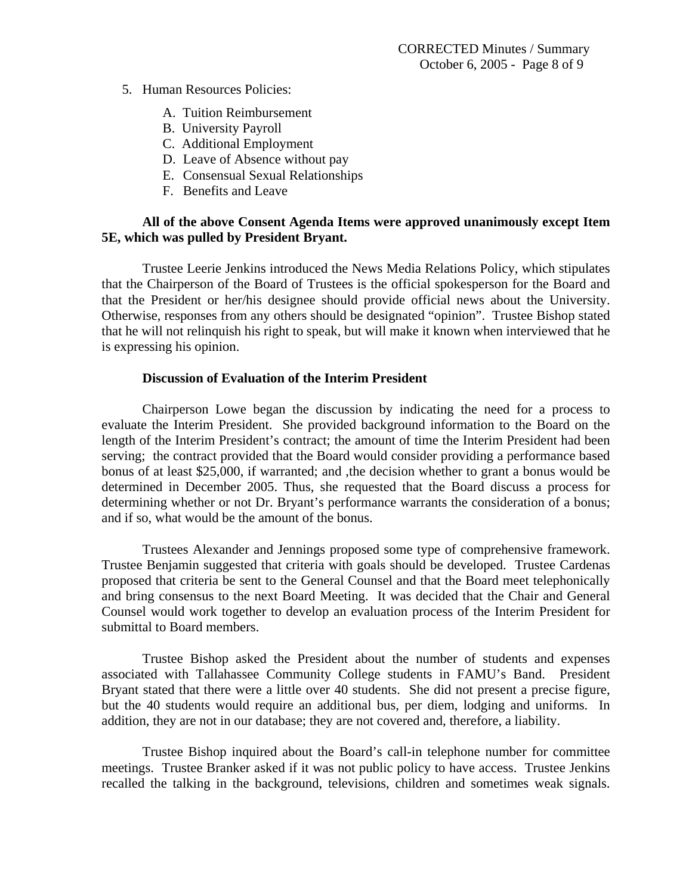- 5. Human Resources Policies:
	- A. Tuition Reimbursement
	- B. University Payroll
	- C. Additional Employment
	- D. Leave of Absence without pay
	- E. Consensual Sexual Relationships
	- F. Benefits and Leave

## **All of the above Consent Agenda Items were approved unanimously except Item 5E, which was pulled by President Bryant.**

Trustee Leerie Jenkins introduced the News Media Relations Policy, which stipulates that the Chairperson of the Board of Trustees is the official spokesperson for the Board and that the President or her/his designee should provide official news about the University. Otherwise, responses from any others should be designated "opinion". Trustee Bishop stated that he will not relinquish his right to speak, but will make it known when interviewed that he is expressing his opinion.

#### **Discussion of Evaluation of the Interim President**

Chairperson Lowe began the discussion by indicating the need for a process to evaluate the Interim President. She provided background information to the Board on the length of the Interim President's contract; the amount of time the Interim President had been serving; the contract provided that the Board would consider providing a performance based bonus of at least \$25,000, if warranted; and ,the decision whether to grant a bonus would be determined in December 2005. Thus, she requested that the Board discuss a process for determining whether or not Dr. Bryant's performance warrants the consideration of a bonus; and if so, what would be the amount of the bonus.

Trustees Alexander and Jennings proposed some type of comprehensive framework. Trustee Benjamin suggested that criteria with goals should be developed. Trustee Cardenas proposed that criteria be sent to the General Counsel and that the Board meet telephonically and bring consensus to the next Board Meeting. It was decided that the Chair and General Counsel would work together to develop an evaluation process of the Interim President for submittal to Board members.

Trustee Bishop asked the President about the number of students and expenses associated with Tallahassee Community College students in FAMU's Band. President Bryant stated that there were a little over 40 students. She did not present a precise figure, but the 40 students would require an additional bus, per diem, lodging and uniforms. In addition, they are not in our database; they are not covered and, therefore, a liability.

Trustee Bishop inquired about the Board's call-in telephone number for committee meetings. Trustee Branker asked if it was not public policy to have access. Trustee Jenkins recalled the talking in the background, televisions, children and sometimes weak signals.